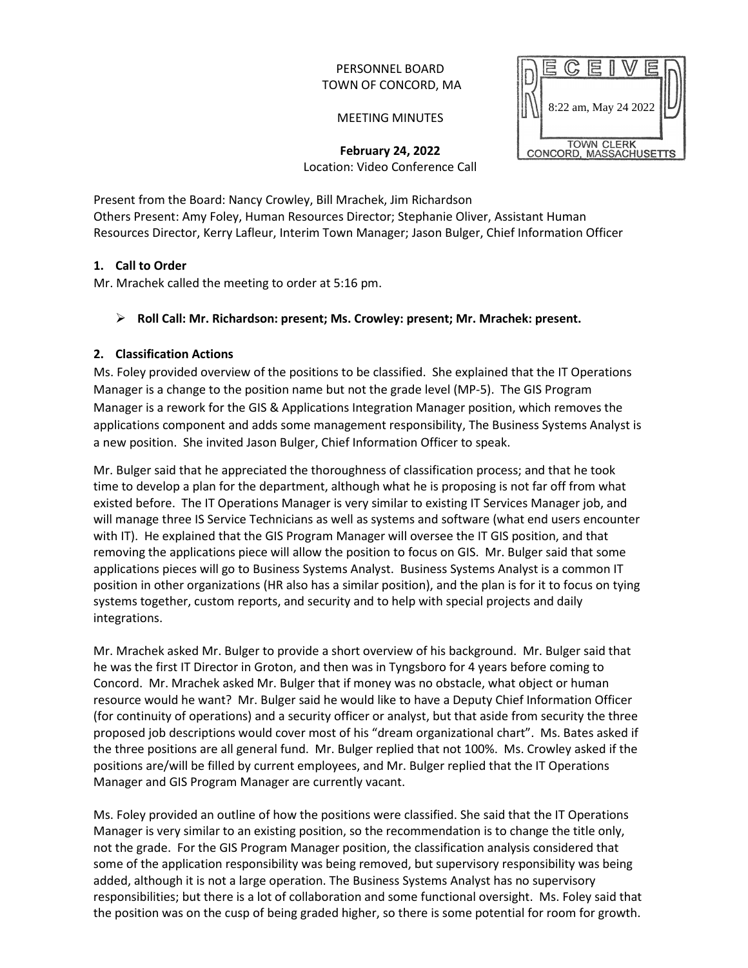## PERSONNEL BOARD TOWN OF CONCORD, MA

MEETING MINUTES



**February 24, 2022** Location: Video Conference Call

Present from the Board: Nancy Crowley, Bill Mrachek, Jim Richardson Others Present: Amy Foley, Human Resources Director; Stephanie Oliver, Assistant Human Resources Director, Kerry Lafleur, Interim Town Manager; Jason Bulger, Chief Information Officer

# **1. Call to Order**

Mr. Mrachek called the meeting to order at 5:16 pm.

### **Roll Call: Mr. Richardson: present; Ms. Crowley: present; Mr. Mrachek: present.**

### **2. Classification Actions**

Ms. Foley provided overview of the positions to be classified. She explained that the IT Operations Manager is a change to the position name but not the grade level (MP-5). The GIS Program Manager is a rework for the GIS & Applications Integration Manager position, which removes the applications component and adds some management responsibility, The Business Systems Analyst is a new position. She invited Jason Bulger, Chief Information Officer to speak.

Mr. Bulger said that he appreciated the thoroughness of classification process; and that he took time to develop a plan for the department, although what he is proposing is not far off from what existed before. The IT Operations Manager is very similar to existing IT Services Manager job, and will manage three IS Service Technicians as well as systems and software (what end users encounter with IT). He explained that the GIS Program Manager will oversee the IT GIS position, and that removing the applications piece will allow the position to focus on GIS. Mr. Bulger said that some applications pieces will go to Business Systems Analyst. Business Systems Analyst is a common IT position in other organizations (HR also has a similar position), and the plan is for it to focus on tying systems together, custom reports, and security and to help with special projects and daily integrations.

Mr. Mrachek asked Mr. Bulger to provide a short overview of his background. Mr. Bulger said that he was the first IT Director in Groton, and then was in Tyngsboro for 4 years before coming to Concord. Mr. Mrachek asked Mr. Bulger that if money was no obstacle, what object or human resource would he want? Mr. Bulger said he would like to have a Deputy Chief Information Officer (for continuity of operations) and a security officer or analyst, but that aside from security the three proposed job descriptions would cover most of his "dream organizational chart". Ms. Bates asked if the three positions are all general fund. Mr. Bulger replied that not 100%. Ms. Crowley asked if the positions are/will be filled by current employees, and Mr. Bulger replied that the IT Operations Manager and GIS Program Manager are currently vacant.

Ms. Foley provided an outline of how the positions were classified. She said that the IT Operations Manager is very similar to an existing position, so the recommendation is to change the title only, not the grade. For the GIS Program Manager position, the classification analysis considered that some of the application responsibility was being removed, but supervisory responsibility was being added, although it is not a large operation. The Business Systems Analyst has no supervisory responsibilities; but there is a lot of collaboration and some functional oversight. Ms. Foley said that the position was on the cusp of being graded higher, so there is some potential for room for growth.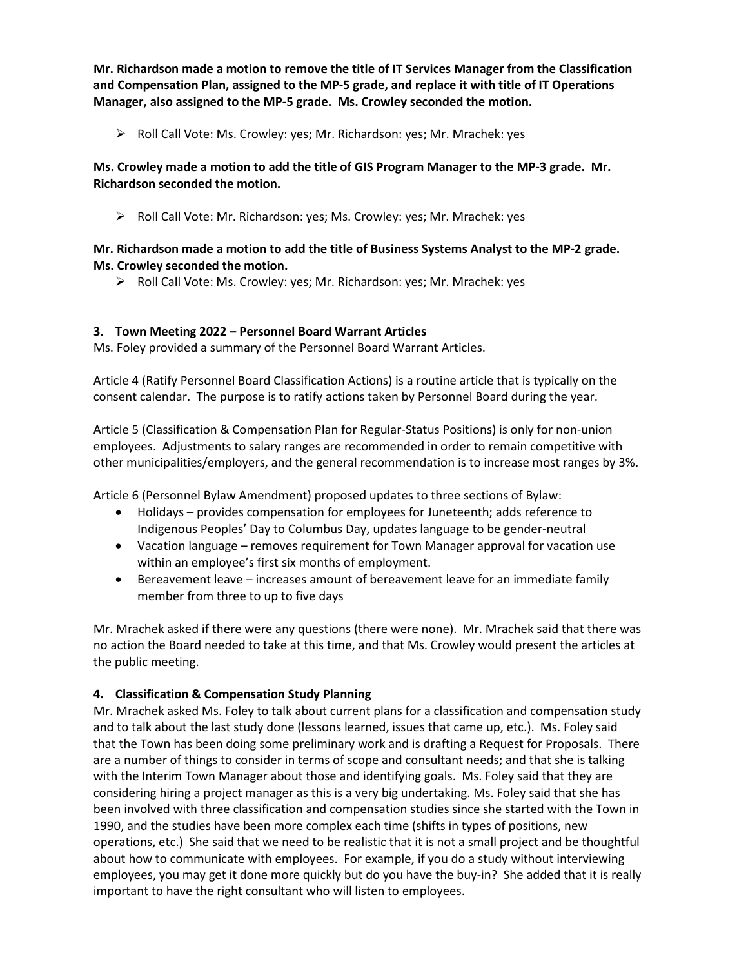**Mr. Richardson made a motion to remove the title of IT Services Manager from the Classification and Compensation Plan, assigned to the MP-5 grade, and replace it with title of IT Operations Manager, also assigned to the MP-5 grade. Ms. Crowley seconded the motion.**

Roll Call Vote: Ms. Crowley: yes; Mr. Richardson: yes; Mr. Mrachek: yes

## **Ms. Crowley made a motion to add the title of GIS Program Manager to the MP-3 grade. Mr. Richardson seconded the motion.**

Roll Call Vote: Mr. Richardson: yes; Ms. Crowley: yes; Mr. Mrachek: yes

### **Mr. Richardson made a motion to add the title of Business Systems Analyst to the MP-2 grade. Ms. Crowley seconded the motion.**

Roll Call Vote: Ms. Crowley: yes; Mr. Richardson: yes; Mr. Mrachek: yes

### **3. Town Meeting 2022 – Personnel Board Warrant Articles**

Ms. Foley provided a summary of the Personnel Board Warrant Articles.

Article 4 (Ratify Personnel Board Classification Actions) is a routine article that is typically on the consent calendar. The purpose is to ratify actions taken by Personnel Board during the year.

Article 5 (Classification & Compensation Plan for Regular-Status Positions) is only for non-union employees. Adjustments to salary ranges are recommended in order to remain competitive with other municipalities/employers, and the general recommendation is to increase most ranges by 3%.

Article 6 (Personnel Bylaw Amendment) proposed updates to three sections of Bylaw:

- Holidays provides compensation for employees for Juneteenth; adds reference to Indigenous Peoples' Day to Columbus Day, updates language to be gender-neutral
- Vacation language removes requirement for Town Manager approval for vacation use within an employee's first six months of employment.
- Bereavement leave increases amount of bereavement leave for an immediate family member from three to up to five days

Mr. Mrachek asked if there were any questions (there were none). Mr. Mrachek said that there was no action the Board needed to take at this time, and that Ms. Crowley would present the articles at the public meeting.

# **4. Classification & Compensation Study Planning**

Mr. Mrachek asked Ms. Foley to talk about current plans for a classification and compensation study and to talk about the last study done (lessons learned, issues that came up, etc.). Ms. Foley said that the Town has been doing some preliminary work and is drafting a Request for Proposals. There are a number of things to consider in terms of scope and consultant needs; and that she is talking with the Interim Town Manager about those and identifying goals. Ms. Foley said that they are considering hiring a project manager as this is a very big undertaking. Ms. Foley said that she has been involved with three classification and compensation studies since she started with the Town in 1990, and the studies have been more complex each time (shifts in types of positions, new operations, etc.) She said that we need to be realistic that it is not a small project and be thoughtful about how to communicate with employees. For example, if you do a study without interviewing employees, you may get it done more quickly but do you have the buy-in? She added that it is really important to have the right consultant who will listen to employees.